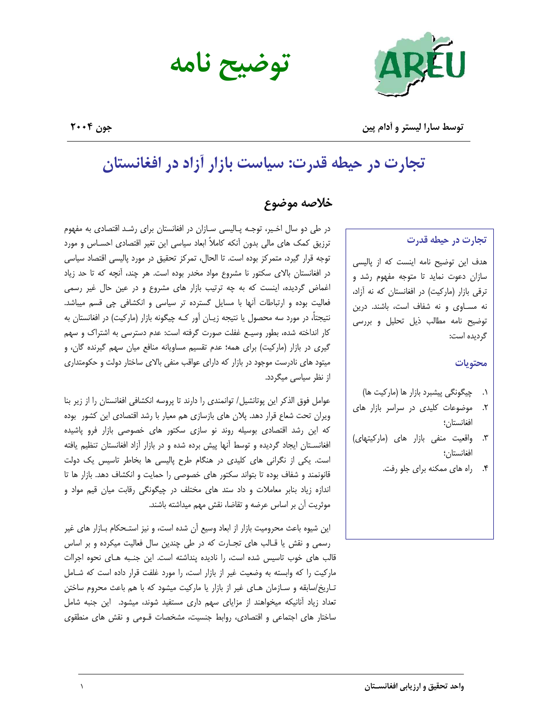

توضيح نامه

توسط سارا ليستر و أدام پين

جون ٢٠٠۴

# تجارت در حیطه قدرت: سیاست بازار آزاد در افغانستان

# خلاصه موضوع

#### تجارت در حیطه قدرت

هدف این توضیح نامه اینست که از پالیسی سازان دعوت نماید تا متوجه مفهوم رشد و ترقی بازار (مارکیت) در افغانستان که نه آزاد، نه مساوی و نه شفاف است، باشند. درین توضيح نامه مطالب ذيل تحليل وبررسى گردیده است:

#### محتويات

- ۰۱. چیگونگی پیشبرد بازار ها (مارکیت ها)
- موضوعات کلیدی در سراسر بازار های  $\cdot$ .۲ افغانستان؛
- ۳. واقعیت منفی بازار های (مارکیتهای) افغانستان؛
	- راه های ممکنه برای جلو رفت.

در طی دو سال اخـیر، توجـه پـالیسی سـازان در افغانستان برای رشـد اقتصادی به مفهوم ترزیق کمک های مالی بدون آنکه کاملاً ابعاد سیاسی این تغیر اقتصادی احسـاس و مورد توجه قرار گیرد، متمرکز بوده است. تا الحال، تمرکز تحقیق در مورد پالیسی اقتصاد سیاسی در افغانستان بالای سکتور نا مشروع مواد مخدر بوده است. هر چند، آنچه که تا حد زیاد اغماض گردیده، اینست که به چه ترتیب بازار های مشروع و در عین حال غیر رسمی فعالیت بوده و ارتباطات آنها با مسایل گسترده تر سیاسی و انکشافی چی قسم میباشد. نتيجتاً، در مورد سه محصول يا نتيجه زيــان آور كــه چيگونه بازار (ماركيت) در افغانستان به کار انداخته شده، بطور وسیـع غفلت صورت گرفته است: عدم دسترسی به اشتراک و سهم گیری در بازار (مارکیت) برای همه؛ عدم تقسیم مساویانه منافع میان سهم گیرنده گان، و میتود های نادرست موجود در بازار که دارای عواقب منفی بالای ساختار دولت و حکومتداری از نظر سیاسی میگردد.

عوامل فوق الذكر اين پوتانشيل/ توانمندي را دارند تا پروسه انكشافي افغانستان را از زير بنا ویران تحت شعاع قرار دهد. پلان های بازسازی هم معیار با رشد اقتصادی این کشور بوده که این رشد اقتصادی بوسیله روند نو سازی سکتور های خصوصی بازار فرو پاشیده افغانستان ایجاد گردیده و توسط آنها پیش برده شده و در بازار آزاد افغانستان تنظیم یافته است. یکی از نگرانی های کلیدی در هنگام طرح پالیسی ها بخاطر تاسیس یک دولت قانونمند و شفاف بوده تا بتواند سكتور هاى خصوصى را حمايت و انكشاف دهد. بازار ها تا اندازه زیاد بنابر معاملات و داد ستد های مختلف در چیگونگی رقابت میان قیم مواد و موثريت آن بر اساس عرضه و تقاضا، نقش مهم ميداشته باشند.

این شیوه باعث محرومیت بازار از ابعاد وسیع آن شده است، و نیز استـحکام بــازار های غیر رسمی و نقش یا قـالب های تجـارت که در طی چندین سال فعالیت میکرده و بر اساس قالب های خوب تاسیس شده است، را نادیده پنداشته است. این جنـبه هـای نحوه اجراات ماركيت را كه وابسته به وضعيت غير از بازار است، را مورد غلفت قرار داده است كه شـامل تـاریخ/سابقه و سـازمان هـای غیر از بازار یا مارکیت میشود که با هم باعث محروم ساختن تعداد زیاد آنانیکه میخواهند از مزایای سهم داری مستفید شوند، میشود. این جنبه شامل ساختار های اجتماعی و اقتصادی، روابط جنسیت، مشخصات قـومی و نقش های منطقوی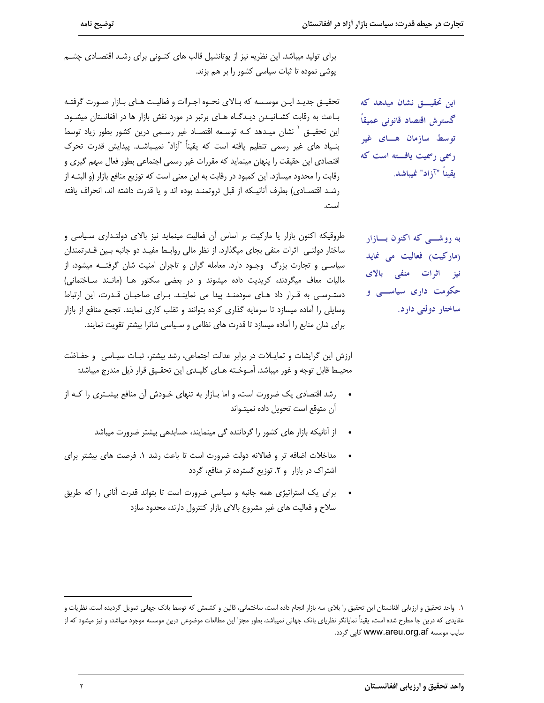برای تولید میباشد. این نظریه نیز از پوتانشیل قالب های کنونی برای رشد اقتصادی چشم پوشی نموده تا ثبات سیاسی کشور را بر هم بزند.

تحقيـق جديـد ايـن موسـسه كه بـالاي نحـوه اجـراات و فعاليـت هـاي بـازار صـورت گرفتـه باعث به رقابت کشانیدن دیدگاه های برتبر در مورد نقش بازار ها در افغانستان میشود. این تحقیـق ` نشان میـدهد کـه توسـعه اقتصـاد غیر رسـمی درین کشور بطور زیاد توسط بنـياد هاي غير رسمي تنظيم يافته است كه يقيناً "آزاد" نميـباشـد. پيدايش قدرت تحرك اقتصادی این حقیقت را پنهان مینماید که مقررات غیر رسمی اجتماعی بطور فعال سهم گیری و رقابت را محدود میسازد. این کمبود در رقابت به این معنی است که توزیع منافع بازار (و البتـه از رشـد اقتصـادي) بطرف أنانيـكه از قبل ثروتمنـد بوده اند و يا قدرت داشته اند، انحراف يافته است.

طروقیکه اکنون بازار یا مارکیت بر اساس اًن فعالیت مینماید نیز بالای دولتـداری سـیاسی و ساختار دولتـی اثرات منفی بجای میگذارد. از نظر مالی روابـط مفیـد دو جانبه بـین قـدرتمندان سیاسی و تجارت بزرگ وجـود دارد. معامله گران و تاجران امنیت شان گرفتـــه میشود، از مالیات معاف میگردند، کریدیت داده میشوند و در بعضی سکتور هـا (مانـند سـاختمانی) دسترسی به قرار داد های سودمند پیدا می نمایند. برای صاحبان قدرت، این ارتباط وسایلی را آماده میسازد تا سرمایه گذاری کرده بتوانند و تقلب کاری نمایند. تجمع منافع از بازار برای شان منابع را آماده میسازد تا قدرت های نظامی و سـیاسی شانرا بیشتر تقویت نمایند.

ارزش این گرایشات و تمایـلات در برابر عدالت اجتماعی، رشد بیشتر، ثبـات سیـاسی و حفـاظت محيــط قابل توجه و غور ميباشد. آمــوخـته هــاى كليــدى اين تحقـيق قرار ذيل مندرج ميباشد:

- رشد اقتصادی یک ضرورت است، و اما بـازار به تنهای خـودش آن منافع بیشـتری را کـه از آن متوقع است تحويل داده نميتـواند
	- از آنانیکه بازار های کشور را گرداننده گی مینمایند، حسابدهی بیشتر ضرورت میباشد
- مداخلات اضافه تر و فعالانه دولت ضرورت است تا باعث رشد ١. فرصت هاى بيشتر براى اشتراک در بازار و ۲. توزیع گسترده تر منافع، گردد
- برای یک استراتیژی همه جانبه و سیاسی ضرورت است تا بتواند قدرت آنانی را که طریق سلاح و فعالیت های غیر مشروع بالای بازار کنترول دارند، محدود سازد

به روشـــی که اکنون بـــازار (ماركيت) فعاليت مى نمايد نیز اثرات منفی بالای حکومت داری سیاســـی و ساختار دولتی دارد.

این تحقیــــق نشان میدهد که

گسترش اقتصاد قانونی عمیقاً

توسط سازمان هسای غیر

رسمی رسمیت یافته است که

يقيناً "آزاد" نميباشد.

١. واحد تحقيق و ارزيابي افغانستان اين تحقيق را بلاي سه بازار انجام داده است، ساختماني، قالين و كشمش كه توسط بانك جهاني تمويل گرديده است، نظريات و عقایدی که درین جا مطرح شده است، یقیناً نمایانگر نظریای بانک جهانی نمیباشد، بطور مجزا این مطالعات موضوعی درین موسسه موجود میباشد، و نیز میشود که از سایب موسسه www.areu.org.af کایی گردد.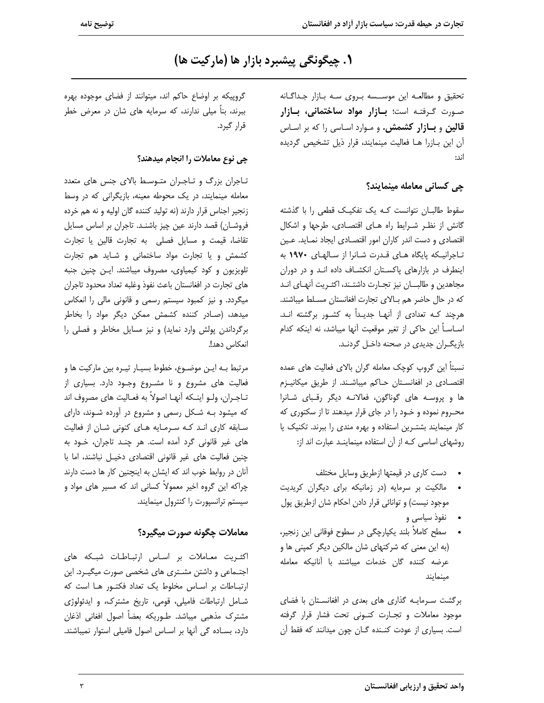# ١. چيگونگي پيشبرد بازار ها (مارکيت ها)

تحقیق و مطالعـه این موســسه بـروی سـه بـازار جـداگـانه صورت گرفته است؛ بازار مواد ساختمانی، بازار قالین و بازار کشمش. و مـوارد اسـاسی را که بر اسـاس آن این بـازرا هـا فعالیت مینمایند، قرار ذیل تشخیص گردیده اند:

### <u>جي</u> کساني معامله مينمايند؟

سقوط طالبـان نتوانست كـه يك تفكيـك قطعى را با گذشته گانش از نظر شرایط راه های اقتصادی، طرحها و اشکال اقتصادی و دست اندر کاران امور اقتصـادی ایجاد نمـاید. عـین تاجرانیکه پایگاه های قدرت شانرا از سالهای ١٩٧٠ به اینطرف در بازارهای پاکستان انکشاف داده اند و در دوران مجاهدين و طالبان نيز تجارت داشتـند، اكثـريت أنهـاى انـد كه در حال حاضر هم بالاى تجارت افغانستان مسلط ميباشند. هرچند کـه تعدادی از آنهـا جدیـداً به کشـور برگشته انـد. اســاســاً اين حاكي از تغير موقعيت آنها ميباشد، نه اينكه كدام بازیگران جدیدی در صحنه داخل گردنـد.

نسبتاً این گروپ کوچک معامله گران بالای فعالیت های عمده اقتصادی در افغانستان حاکم میباشند. از طریق میکانیـزم ها و پروسه های گوناگون، فعالانه دیگر رقبای شانرا محـروم نموده و خـود را در جای قرار میدهند تا از سکتوری که کار مینمایند بشتـرین استفاده و بهره مندی را ببرند. تکنیک یا روشهای اساسی که از آن استفاده مینماینـد عبارت اند از:

- دست كارى در قيمتها ازطريق وسايل مختلف
- مالکیت بر سرمایه (در زمانیکه برای دیگران کریدیت موجود نیست) و توانائی قرار دادن احکام شان ازطریق پول
	- نفوذ سیاسی و
- سطح كاملاً بلند يكپارچگى در سطوح فوقانى اين زنجير، (به این معنی که شرکتهای شان مالکین دیگر کمینی ها و عرضه كننده گان خدمات ميباشند با آنانيكه معامله مينمايند

برگشت سرمایـه گذاری های بعدی در افغانسـتان با فضای موجود معاملات وتجارت كنونى تحت فشار قرار گرفته است. بسیاری از عودت کنـنده گـان چون میدانند که فقط آن

گروپیکه بر اوضاع حاکم اند، میتوانند از فضای موجوده بهره ببرند، بناً میلی ندارند، که سرمایه های شان در معرض خطر قرار گیرد.

#### چی نوع معاملات را انجام میدهند؟

تاجران بزرگ و تاجران متوسط بالای جنس های متعدد معامله مینمایند، در یک محوطه معینه، بازیگرانی که در وسط زنجير اجناس قرار دارند (نه توليد كننده گان اوليه و نه هم خرده فروشـان) قصد دارند عين چيز باشنـد. تاجران بر اساس مسايل تقاضا، قيمت و مسايل فصلى به تجارت قالين يا تجارت کشمش و یا تجارت مواد ساختمانی و شباید هم تجارت تلویزیون و کود کیمیاوی، مصروف میباشند. ایـن چنین جنبه های تجارت در افغانستان باعث نفوذ وغلبه تعداد محدود تاجران میگردد. و نیز کمبود سیستم رسمی و قانونی مالی را انعکاس میدهد، (صـادر کننده کشمش ممکن دیگر مواد را بخاطر برگرداندن پولش وارد نماید) و نیز مسایل مخاطر و فصلی را انعكاس دهد!.

مرتبط بـه ايـن موضـوع، خطوط بسيـار تيـره بين ماركيت ها و فعالیت های مشروع و نا مشـروع وجـود دارد. بسیاری از تــاجــران، ولــو اينــكه آنهــا اصولاً به فعــاليت هاي مصروف اند که میشود بـه شـکل رسمی و مشروع در آورده شـوند، دارای سابقه کاری اند که سرمایه های کنونی شان از فعالیت های غیر قانونی گرد آمده است. هر چنـد تاجران، خـود به چنین فعالیت های غیر قانونی اقتصادی دخیـل نباشند، اما با آنان در روابط خوب اند که ایشان به اینچنین کار ها دست دارند چراکه این گروه اخیر معمولاً کسانی اند که مسیر های مواد و سیستم ترانسیورت را کنترول مینمایند.

## معاملات چگونه صورت میگیرد؟

اکثریت معاملات بر اساس ارتباطات شبکه های اجتـماعی و داشتن مشـتری های شخصی صورت میگیـرد. این ارتباطات بر اساس مخلوط یک تعداد فکتور ها است که شامل ارتباطات فامیلی، قومی، تاریخ مشترک، و ایدئولوژی مشترک مذهبی میباشد. طـوریکه بعضاً اصول افغانی اذغان دارد، بساده گی آنها بر اساس اصول فامیلی استوار نمیباشند.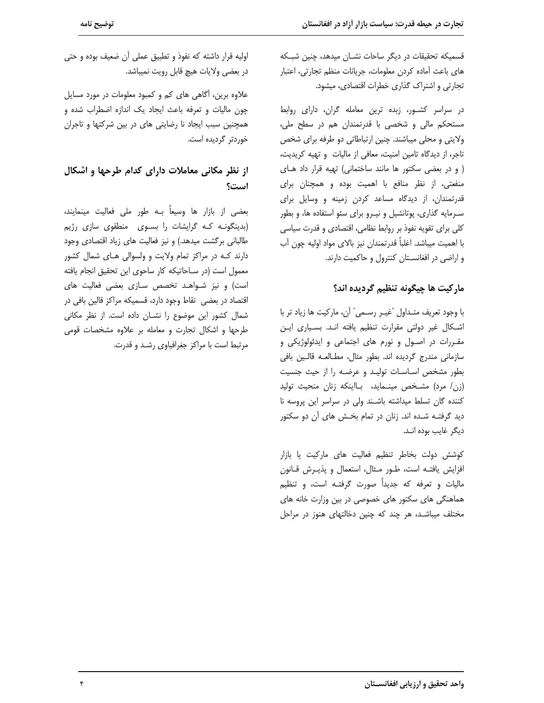قسمیکه تحقیقات در دیگر ساحات نشـان میدهد، چنین شبـکه های باعث آماده کردن معلومات، جریانات منظم تجارتی، اعتبار تجارتی و اشتراک گذاری خطرات اقتصادی، میشود.

در سراسر کشـور، زبده ترین معامله گران، دارای روابط مستحکم مالی و شخصی با قدرتمندان هم در سطح ملی، ولایتی و محلی میباشند. چنین ارتباطاتی دو طرفه برای شخص تاجر، از دیدگاه تامین امنیت، معافی از مالیات و تهیه کریدیت، ( و در بعضی سکتور ها مانند ساختمانی) تهیه قرار داد های منفعتی، از نظر منافع با اهمیت بوده و همچنان برای قدرتمندان، از دیدگاه مساعد کردن زمینه و وسایل برای سـرمایه گذاری، پوتانشیل و نیـرو برای سئو استفاده ها، و بطور كلي براي تقويه نفوذ بر روابط نظامي، اقتصادي و قدرت سياسي با اهميت ميباشد. اغلباً قدرتمندان نيز بالاي مواد اوليه چون آب و اراضی در افغانستان کنترول و حاکمیت دارند.

#### ماركيت ها چيگونه تنظيم گرديده اند؟

با وجود تعريف متـداول "غيــر رســمي" آن، ماركيت ها زياد تر با اشكال غير دولتي مقرارت تنظيم يافته انـد. بسـياري ايـن مقـررات در اصـول و نورم های اجتماعی و ایدئولوژیکی و سازمانی مندرج گردیده اند. بطور مثال، مطـالعـه قالـین بافی بطور مشخص اساسات توليد و عرضه را از حيث جنسيت (زن/ مرد) مشـخص مینـماید، بـااینکه زنان منحیث تولید كننده گان تسلط ميداشته باشند ولى در سراسر اين پروسه نا دید گرفتـه شـده اند. زنان در تمام بخـش های آن دو سکتور دیگر غایب بوده انـد.

كوشش دولت بخاطر تنظيم فعاليت هاى ماركيت يا بازار افزایش یافتـه است، طـور مـثال، استعمال و پذیـرش قـانون مالیات و تعرفه که جدیداً صورت گرفتـه است، و تنظیم هماهنگی های سکتور های خصوصی در بین وزارت خانه های مختلف میباشـد، هر چند که چنین دخالتهای هنوز در مراحل

اوليه قرار داشته كه نفوذ و تطبيق عملي آن ضعيف بوده و حتى در بعضی ولایات هیچ قابل رویت نمیباشد.

علاوه برین، آگاهی های کم و کمبود معلومات در مورد مسایل چون مالیات و تعرفه باعث ایجاد یک اندازه اضطراب شده و همچنین سبب ایجاد نا رضایتی های در بین شرکتها و تاجران خوردتر گردیده است.

## از نظر مکانی معاملات دارای کدام طرحها و اشکال است؟

بعضی از بازار ها وسیعاً بـه طور ملی فعالیت مینمایند، (بدینگونـه کـه گرایشات را بسـوی منطقوی سازی رژیم طالبانی برگشت میدهد.) و نیز فعالیت های زیاد اقتصادی وجود دارند که در مراکز تمام ولایت و ولسوالی های شمال کشور معمول است (در سـاحاتيكه كار ساحوى اين تحقيق انجام يافته است) و نیز شواهد تخصص سازی بعضی فعالیت های اقتصاد در بعضی نقاط وجود دارد، قسمیکه مراکز قالین بافی در شمال کشور این موضوع را نشـان داده است. از نظر مکانی طرحها واشكال تجارت و معامله بر علاوه مشخصات قومى مرتبط است با مراکز جغرافیاوی رشـد و قدرت.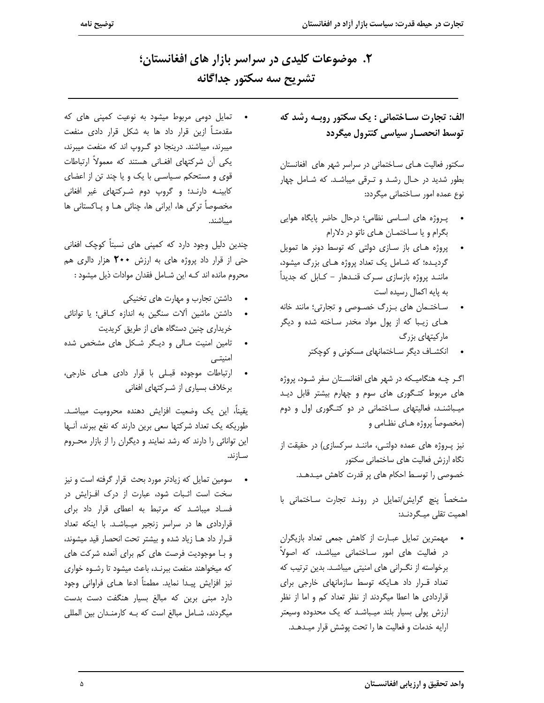۲. موضوعات کلیدی در سراسر بازار های افغانستان؛ تشريح سه سكتور جداگانه

> الف: تجارت سـاختماني : یک سکتور روبـه رشد که توسط انحصــار سياسي كنترول ميگردد

> سکتور فعالیت های ساختمانی در سراسر شهر های افغانستان بطور شدید در حال رشد و ترقی میباشد. که شامل چهار نوع عمده امور سـاختمانى ميگردد:

- پروژه های اساسی نظامی؛ درحال حاضر پایگاه هوایی بگرام و یا ساختمان های ناتو در دلارام
- پروژه های باز سازی دولتی که توسط دونر ها تمویل گردیده؛ که شامل یک تعداد پروژه های بزرگ میشود، ماننـد پروژه بازسازی سـرک قنـدهار - کـابل که جدیداً به پایه اکمال رسیده است
- ساختمان های بزرگ خصوصی و تجارتی؛ مانند خانه های زیبا که از پول مواد مخدر ساخته شده و دیگر مارکیتهای بزرگ
	- انکشاف دیگر ساختمانهای مسکونی و کوچکتر

اگـر چـه هنگاميـكه در شهر هاى افغانسـتان سفر شـود، پروژه های مربوط کتـگوری های سوم و چهارم بیشتر قابل دیـد میباشند، فعالیتهای ساختمانی در دو کتگوری اول و دوم (مخصوصاً پروژه هـای نظـامی و

نیز پروژه های عمده دولتے، ماننـد سرکسازی) در حقیقت از نگاه ارزش فعالیت های ساختمانی سکتور خصوصی را توسط احکام های پر قدرت کاهش میـدهـد.

مشخصاً پنچ گرایش/تمایل در رونـد تجارت سـاختمانی با اهمیت تقلی میـگردنـد:

مهمترین تمایل عبـارت از کاهش جمعی تعداد بازیگران در فعالیت های امور سـاختمانی میباشـد، که اصولاً برخواسته از نگرانی های امنیتی میباشد. بدین ترتیب که تعداد قرار داد هایکه توسط سازمانهای خارجی برای قراردادی ها اعطا میگردند از نظر تعداد کم و اما از نظر ارزش پولی بسیار بلند میباشد که یک محدوده وسیعتر ارايه خدمات و فعاليت ها را تحت پوشش قرار ميدهـد.

• تمایل دومی مربوط میشود به نوعیت کمپنی های که مقدمتــاً ازين قرار داد ها به شكل قرار دادى منفعت میبرند، میباشند. درینجا دو گروپ اند که منفعت میبرند، یکی اَن شرکتهای افغـانی هستند که معمولاً ارتباطات قوی و مستحکم سیاسی با یک و یا چند تن از اعضای کابینـه دارنـد؛ و گروپ دوم شـرکتهای غیر افغانی مخصوصاً تركي ها، ايراني ها، چنائي هــا و پــاكستاني ها ميباشند.

چندین دلیل وجود دارد که کمپنی های نسبتاً کوچک افغانی حتی از قرار داد پروژه های به ارزش **۲۰۰** هزار دالری هم محروم مانده اند كـه اين شـامل فقدان موادات ذيل ميشود :

- داشتن تجارب و مهارت های تخنیکی
- داشتن ماشين آلات سنگين به اندازه كافي؛ يا توانائى خریداری چنین دستگاه های از طریق کریدیت
- تامین امنیت مـالی و دیـگر شـکل های مشخص شده امنیتے ،
- ارتباطات موجوده قبلی با قرار دادی های خارجی،  $\bullet$ برخلاف بسیاری از شـرکتهای افغانی

يقيناً، اين يک وضعيت افزايش دهنده محروميت ميباشـد. طوریکه یک تعداد شرکتها سعی برین دارند که نفع ببرند، أنـها این توانائی را دارند که رشد نمایند و دیگران را از بازار محروم ســازند.

سومین تمایل که زیادتر مورد بحث قرار گرفته است و نیز سخت است اثبات شود، عبارت از درک افزایش در فساد میباشد که مرتبط به اعطای قرار داد برای قراردادی ها در سراسر زنجیر میباشد. با اینکه تعداد قـرار داد هـا زياد شده و بيشتر تحت انحصار قيد ميشوند، و بـا موجوديت فرصت هاي كم براي آنعده شركت هاي كه ميخواهند منفعت ببرنـد، باعث ميشود تا رشـوه خوارى نيز افزايش پيـدا نمايد. مطمناً ادعا هـاي فراواني وجود دارد مبنی برین که مبالغ بسیار هنگفت دست بدست میگردند، شامل مبالغ است که بـه کارمنـدان بین المللی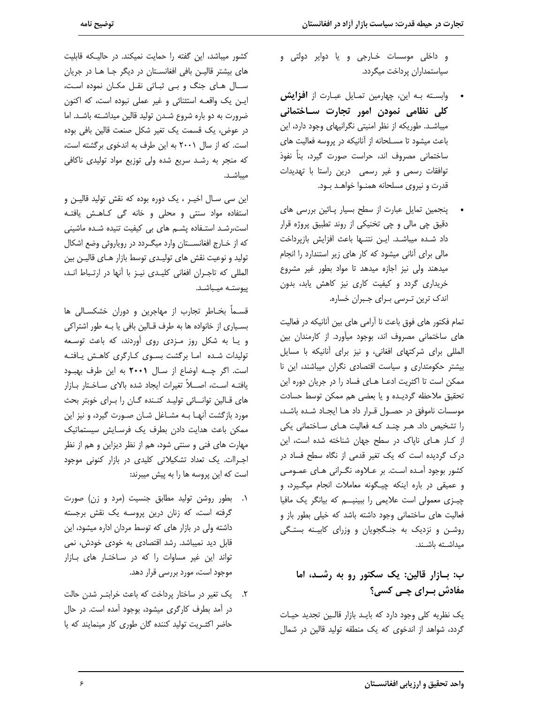و داخلي موسسات خـارجي و يا دواير دولتي و سياستمداران پرداخت ميگردد.

- وابسته بـه این، چهارمین تمـایل عبـارت از **افزایش** کلی نظامی نمودن امور تجارت سـاختمانی میباشد. طوریکه از نظر امنیتی نگرانیهای وجود دارد، این باعث میشود تا مسـلحانه از آنانیکه در پروسه فعالیت های ساختمانی مصروف اند، حراست صورت گیرد، بناً نفوذ توافقات رسمى وغير رسمى درين راستا با تهديدات قدرت و نیروی مسلحانه همنوا خواهـد بود.
- پنجمین تمایل عبارت از سطح بسیار پـائین بررسی های دقیق چی مالی و چی تخنیکی از روند تطبیق پروژه قرار داد شـده میباشـد. ایـن نتنـها باعث افزایش بازپرداخت مالی برای آنانی میشود که کار های زیر استندارد را انجام میدهند ولی نیز اجازه میدهد تا مواد بطور غیر مشروع خریداری گردد و کیفیت کاری نیز کاهش یابد، بدون اندک ترین تـرسی بـرای جـبران خساره.

تمام فكتور هاي فوق باعث نا آرامي هاي بين آنانيكه در فعاليت های ساختمانی مصروف اند، بوجود میآورد. از کارمندان بین المللی برای شرکتهای افغانی، و نیز برای آنانیکه با مسایل بیشتر حکومتداری و سیاست اقتصادی نگران میباشند، این نا ممكن است تا اكثريت ادعا هاى فساد را در جريان دوره اين تحقيق ملاحظه گرديده ويا بعضى هم ممكن توسط حسادت موسسات ناموفق در حصول قرار داد هـا ایجـاد شـده باشـد، را تشخیص داد. هر چند که فعالیت های ساختمانی یکی از كار هاى ناپاك در سطح جهان شناخته شده است، اين درک گردیده است که یک تغیر قدمی از نگاه سطح فساد در کشور بوجود آمـده اسـت. بر عــلاوه، نگــرانی هـای عمــومــی و عميقى در باره اينكه چيگونه معاملات انجام ميگيرد، و چیزی معمولی است علایمی را ببینیه که بیانگر یک مافیا فعالیت های ساختمانی وجود داشته باشد که خیلی بطور باز و روشن و نزدیک به جنگجویان و وزرای کابینه بستگی ميداشته باشند.

# ب: بـازار قالین: یک سکتور رو به رشـد، اما مفادش بــراي چــي کسي؟

یک نظریه کلی وجود دارد که باید بازار قالین تجدید حیات گردد، شواهد از اندخوی که یک منطقه تولید قالین در شمال

کشور میباشد، این گفته را حمایت نمیکند. در حالیکه قابلیت های بیشتر قالیـن بافی افغانسـتان در دیگر جـا هـا در جریان سال های جنگ و بے ثباتی نقل مکان نموده است، این یک واقعه استثنائی و غیر عملی نبوده است، که اکنون ضرورت به دو باره شروع شدن تولید قالین میداشته باشد. اما در عوض، یک قسمت یک تغیر شکل صنعت قالین بافی بوده است. که از سال ۲۰۰۱ به این طرف به اندخوی برگشته است، که منجر به رشد سریع شده ولی توزیع مواد تولیدی ناکافی ميباشـد.

این سی سـال اخیــر ، یک دوره بوده که نقش تولید قالیــن و استفاده مواد سنتی و محلی و خانه گی کاهش یافته است،رشد استفاده پشم های بی کیفیت تنیده شده ماشینی كه از خـارج افغانســتان وارد ميگـردد در روياروئي وضع اشكال تولید و نوعیت نقش های تولیـدی توسط بازار هـای قالیـن بین المللي كه تاجران افغاني كليدي نيز با أنها در ارتباط اند، ييوستـه ميـباشـد.

قسـماً بخـاطر تجارب از مهاجرین و دوران خشکسـالی ها بسـياري از خانواده ها به طرف قـالين بافي يا بـه طور اشتراكي و یا به شکل روز مزدی روی آوردند، که باعث توسعه تولیدات شده اما برگشت بسوی کارگری کاهش یافته است. اگر چه اوضاع از سال ۲۰۰۱ به این طرف بهبود يافتـه اسـت، اصـــلاً تغيرات ايجاد شده بالاى سـاخـتار بــازار های قـالین توانــائی تولیـد کنـنده گـان را بـرای خوبتر بحث مورد بازگشت آنهـا بـه مشــاغل شــان صــورت گیرد، و نیز این ممكن باعث هدايت دادن بطرف يك فرسـايش سيستماتيك مهارت های فنی و سنتی شود، هم از نظر دیزاین و هم از نظر اجراات. یک تعداد تشکیلاتی کلیدی در بازار کنونی موجود است كه اين پروسه ها را به پيش ميبرند:

- ۰۱. بطور روشن تولید مطابق جنسیت (مرد و زن) صورت گرفته است، که زنان درین پروسه یک نقش برجسته داشته ولی در بازار های که توسط مردان اداره میشود، این قابل دید نمیباشد. رشد اقتصادی به خودی خودش، نمی تواند این غیر مساوات را که در ساختار های بازار موجود است، مورد بررسی قرار دهد.
- ٢. يک تغير در ساختار پرداخت که باعث خرابتـر شدن حالت در آمد بطرف کارگری میشود، بوجود آمده است. در حال حاضر اکثـریت تولید کننده گان طوری کار مینمایند که یا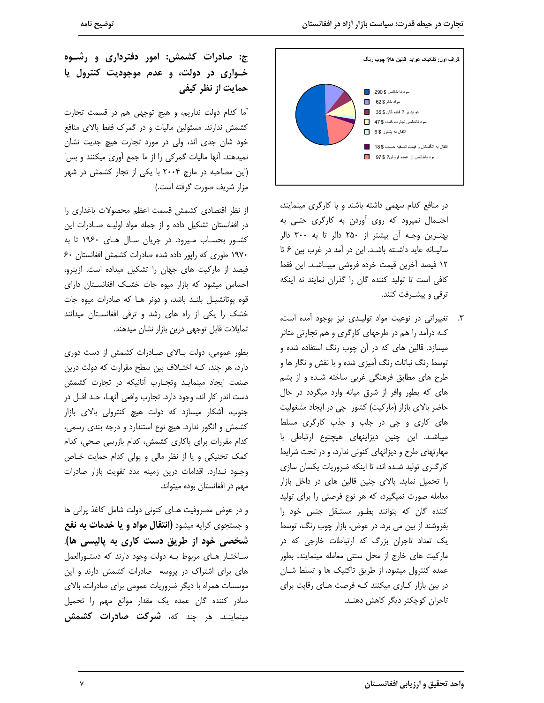

در منافع کدام سهمی داشته باشند و یا کارگری مینمایند، احتمال نمیرود که روی آوردن به کارگری حتبی به بهتـرين وجـه آن بيشتر از ٢۵٠ دالر تا به ٣٠٠ دالر سالیـانه عاید داشـته باشـد. این در آمد در غرب بین ۶ تا ١٢ فيصد آخرين قيمت خرده فروشي ميبـاشـد. اين فقط كافي است تا توليد كننده گان را گذران نمايند نه اينكه ترقی و پیشـرفت کنند.

٣. تغییراتی در نوعیت مواد تولیدی نیز بوجود آمده است، کـه درآمد را هم در طرحهای کارگری و هم تجارتی متاثر میسازد. قالین های که در آن چوب رنگ استفاده شده و توسط رنگ نباتات رنگ آمیزی شده و با نقش و نگار ها و طرح های مطابق فرهنگی غربی ساخته شـده و از پشم های که بطور وافر از شرق میانه وارد میگردد در حال حاضر بالای بازار (مارکیت) کشور چی در ایجاد مشغولیت های کاری و چی در جلب و جذب کارگری مسلط میباشد. این چنین دیزاینهای هیچنوع ارتباطی با مهارتهای طرح و دیزانهای کنونی ندارد، و در تحت شرایط کارگـری تولید شـده اند، تا اینکه ضروریات یکسان سازی را تحمیل نماید. بالای چنین قالین های در داخل بازار معامله صورت نمیگیرد، که هر نوع فرصتی را برای تولید کننده گان که بتوانند بطور مستقل جنس خود را بفروشند از بین می برد. در عوض، بازار چوب رنگ، توسط یک تعداد تاجران بزرگ که ارتباطات خارجی که در ماركيت هاى خارج از محل سنتى معامله مينمايند، بطور عمده کنترول میشود، از طریق تاکتیک ها و تسلط شـان در بین بازار کاری میکنند که فرصت های رقابت برای تاجران كوچكتر ديگر كاهش دهنـد.

ج: صادرات کشمش: امور دفترداری و رشـوه خواری در دولت، و عدم موجودیت کنترول یا حمایت از نظر کیفی

"ما کدام دولت نداریم، و هیچ توجهی هم در قسمت تجارت کشمش ندارند. مسئولین مالیات و در گمرک فقط بالای منافع خود شان جدی اند، ولی در مورد تجارت هیچ جدیت نشان نمیدهند. أنها مالیات گمرکی را از ما جمع آوری میکنند و بس" (این مصاحبه در مارچ ۲۰۰۴ با یکی از تجار کشمش در شهر مزار شریف صورت گرفته است.)

از نظر اقتصادی کشمش قسمت اعظم محصولات باغداری را در افغانستان تشکیل داده و از جمله مواد اولیـه صـادرات این کشور بحساب میرود. در جریان سال های ۱۹۶۰ تا به ١٩٧٠ طورى كه رايور داده شده صادرات كشمش افغانستان ۶۰ فیصد از مارکیت های جهان را تشکیل میداده است. ازینرو، احساس میشود که بازار میوه جات خشک افغانستان دارای قوه پوتانشیـل بلنـد باشد، و دونر هـا که صادرات میوه جات خشک را یکی از راه های رشد و ترقی افغانستان میدانند تمایلات قابل توجهی درین بازار نشان میدهند.

بطور عمومی، دولت بالای صادرات کشمش از دست دوری دارد، هر چند، کـه اختـلاف بين سطح مقرارت که دولت درين صنعت ایجاد مینمایـد وتجــارب آنانیکه در تجارت کشمش دست اندر کار اند، وجود دارد. تجارب واقعی آنهـا، حـد اقــل در جنوب، آشکار میسازد که دولت هیچ کنترولی بالای بازار کشمش و انگور ندارد. هیچ نوع استندارد و درجه بندی رسمی، كدام مقررات براي ياكاري كشمش، كدام بازرسي صحى، كدام کمک تخنیکی و یا از نظر مالی و پولی کدام حمایت خاص وجـود نـدارد. اقدامات درين زمينه مدد تقويت بازار صادرات مهم در افغانستان بوده میتواند.

و در عوض مصروفیت هـای کنونی دولت شامل کاغذ پرانی ها و جستجوی کرایه میشود **(انتقال مواد و یا خدمات به نفع** شخصی خود از طریق دست کاری به پالیسی ها). ساختار های مربوط به دولت وجود دارند که دستورالعمل های برای اشتراک در پروسه صادرات کشمش دارند و این موسسات همراه با دیگر ضروریات عمومی برای صادرات، بالای صادر کننده گان عمده یک مقدار موانع مهم را تحمیل مینماینـد. هر چند که، **شرکت صادرات کشمش**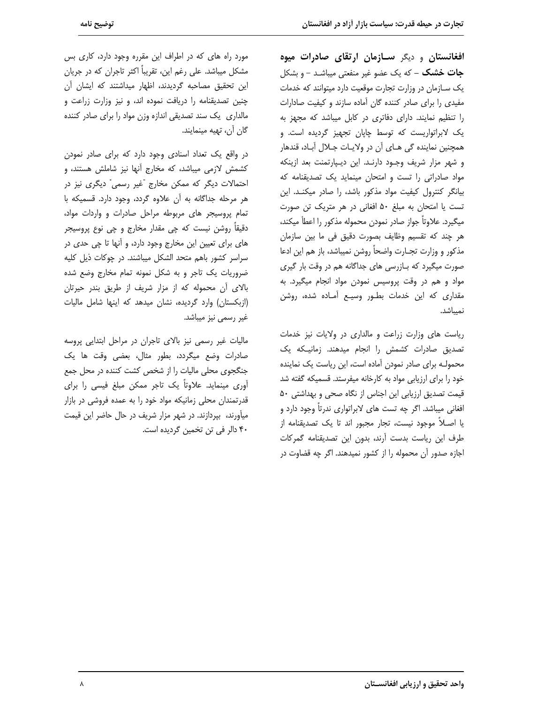**افغانستان و دیگر سـازمان ارتقای صادرات میوه جات خشک** – که یک عضو غیر منفعتی میباشـد – و بشکل یک سازمان در وزارت تجارت موقعیت دارد میتوانند که خدمات مفیدی را برای صادر کننده گان آماده سازند و کیفیت صادارات را تنظیم نمایند. دارای دفاتری در کابل میباشد که مجهز به یک لابراتواریست که توسط چاپان تجهیز گردیده است. و همچنین نماینده گی هـای آن در ولایـات جـلال آبـاد، قندهار و شهر مزار شريف وجـود دارنـد. اين ديـپارتمنت بعد ازينكه مواد صادراتی را تست و امتحان مینماید یک تصدیقنامه که بیانگر کنترول کیفیت مواد مذکور باشد، را صادر میکند. این تست یا امتحان به مبلغ ۵۰ افغانی در هر متریک تن صورت ميگيرد. علاوتاً جواز صادر نمودن محموله مذكور را اعطأ ميكند، هر چند كه تقسيم وظايف بصورت دقيق في ما بين سازمان مذكور و وزارت تجــارت واضحاً روشن نميباشد، باز هم اين ادعا صورت میگیرد که بـازرسی های جداگانه هم در وقت بار گیری مواد و هم در وقت پروسیس نمودن مواد انجام میگیرد. به مقداری که این خدمات بطور وسیع آماده شده، روشن نميباشد.

ریاست های وزارت زراعت و مالداری در ولایات نیز خدمات تصدیق صادرات کشمش را انجام میدهند. زمانیـکه یک محمولـه برای صادر نمودن آماده است، این ریاست یک نماینده خود را برای ارزیابی مواد به کارخانه میفرستد. قسمیکه گفته شد قیمت تصدیق ارزیابی این اجناس از نگاه صحی و بهداشتی ۵۰ افغانی میباشد. اگر چه تست های لابراتواری ندرتاً وجود دارد و یا اصـلاً موجود نیست، تجار مجبور اند تا یک تصدیقنامه از طرف این ریاست بدست آرند، بدون این تصدیقنامه گمرکات اجازه صدور آن محموله را از کشور نمیدهند. اگر چه قضاوت در

مورد راه های که در اطراف این مقرره وجود دارد، کاری بس مشکل میباشد. علی رغم این، تقریباً اکثر تاجران که در جریان این تحقیق مصاحبه گردیدند، اظهار میداشتند که ایشان آن چنین تصدیقنامه را دریافت نموده اند، و نیز وزارت زراعت و مالداری یک سند تصدیقی اندازه وزن مواد را برای صادر کننده گان آن، تهیه مینمایند.

در واقع یک تعداد اسنادی وجود دارد که برای صادر نمودن کشمش لازمی میباشد، که مخارج آنها نیز شاملش هستند، و احتمالات دیگر که ممکن مخارج "غیر رسمی" دیگری نیز در هر مرحله جداگانه به آن علاوه گردد، وجود دارد. قسمیکه با تمام پروسیجر های مربوطه مراحل صادرات و واردات مواد، دقیقاً روشن نیست که چی مقدار مخارج و چی نوع پروسیجر های برای تعیین این مخارج وجود دارد، و آنها تا چی حدی در سراسر کشور باهم متحد الشکل میباشند. در چوکات ذیل کلیه ضروریات یک تاجر و به شکل نمونه تمام مخارج وضع شده بالای آن محموله که از مزار شریف از طریق بندر حیرتان (ازبکستان) وارد گردیده، نشان میدهد که اینها شامل مالیات غیر رسمی نیز میباشد.

مالیات غیر رسمی نیز بالای تاجران در مراحل ابتدایی پروسه صادرات وضع میگردد، بطور مثال، بعضی وقت ها یک جنگجوی محلی مالیات را از شخص کشت کننده در محل جمع آوری مینماید. علاوتاً یک تاجر ممکن مبلغ فیسی را برای قدرتمندان محلی زمانیکه مواد خود را به عمده فروشی در بازار میآورند، بیردازند. در شهر مزار شریف در حال حاضر این قیمت ۴۰ دالر فی تن تخمین گردیده است.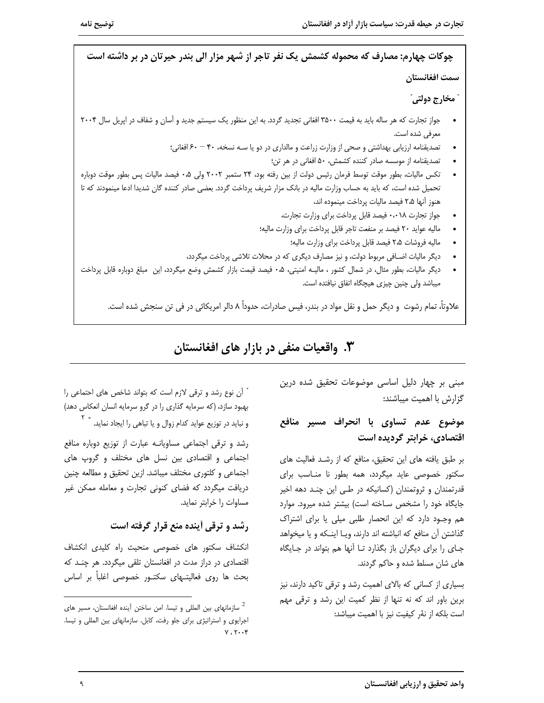چوکات چهارم: مصارف که محموله کشمش یک نفر تاجر از شهر مزار الی بندر حیرتان در بر داشته است سمت افغانستان ٰ مخارج دولتي ٰ جواز تجارت که هر ساله باید به قیمت ۳۵۰۰ افغانی تجدید گردد. به این منظور یک سیستم جدید و آسان و شفاف در اپریل سال ۲۰۰۴ معرفي شده است. تصدیقنامه ارزیابی بهداشتی و صحی از وزارت زراعت و مالداری در دو یا سـه نسخه، ۴۰ – ۶۰ افغانی؛ تصدیقنامه از موسسه صادر کننده کشمش، ۵۰ افغانی در هر تن؛ تكس ماليات، بطور موقت توسط فرمان رئيس دولت از بين رفته بود، ٢۴ ستمبر ٢٠٠٢ ولى ٥٠ فيصد ماليات پس بطور موقت دوباره تحمیل شده است، که باید به حساب وزارت مالیه در بانک مزار شریف پرداخت گردد. بعضی صادر کننده گان شدیدا ادعا مینمودند که تا هنوز آنها ۲،۵ فیصد مالیات پرداخت مینموده اند، جواز تجارت ٠،٠١٨ فيصد قابل پرداخت براى وزارت تجارت، ماليه عوايد ٢٠ فيصد بر منفعت تاجر قابل پرداخت براى وزارت ماليه؛ ماليه فروشات ٢،۵ فيصد قابل پرداخت براي وزارت ماليه؛ دیگر مالیات اضـافی مربوط دولت، و نیز مصارف دیگری که در محلات تلاشی پرداخت میگردد، دیگر مالیات، بطور مثال، در شمال کشور ، مالیـه امنیتی، ۰،۵ فیصد قیمت بازار کشمش وضع میگردد، این مبلغ دوباره قابل پرداخت میباشد ولی چنین چیزی هیچگاه اتفاق نیافتده است. علاوتاً، تمام رشوت و ديگر حمل و نقل مواد در بندر، فيس صادرات، حدوداً ٨ دالر امريكائي در في تن سنجش شده است.

**۳.** واقعیات منفی در بازار های افغانستان

مبنی بر چهار دلیل اساسی موضوعات تحقیق شده درین گزارش با اهمیت میباشند:

### موضوع عدم تساوى با انحراف مسير منافع اقتصادی، خرابتر گردیده است

بر طبق یافته های این تحقیق، منافع که از رشـد فعالیت های سکتور خصوصی عاید میگردد، همه بطور نا مناسب برای قدرتمندان و ثروتمندان (کسانیکه در طـی این چنـد دهه اخیر جایگاه خود را مشخص سـاخته است) بیشتر شده میرود. موارد هم وجـود دارد که این انحصار طلبی میلی یا برای اشتراک گذاشتن آن منافع که انباشته اند دارند، ویـا اینــکه و یا میخواهد جـای را برای دیگران باز بگذارد تـا آنها هم بتواند در جـایگاه های شان مسلط شده و حاکم گردند.

بسیاری از کسانی که بالای اهمیت رشد و ترقی تاکید دارند، نیز برین باور اند که نه تنها از نظر کمیت این رشد و ترقی مهم است بلکه از نهٔر کیفیت نیز با اهمیت میباشد:

" أن نوع رشد و ترقى لازم است كه بتواند شاخص هاى احتماعى را بهبود سازد، (که سرمایه گذاری را در گرو سرمایه انسان انعکاس دهد) و نباید در توزیع عواید کدام زوال و یا تباهی را ایجاد نماید. <sup>" ۲</sup>

رشد و ترقی اجتماعی مساویانـه عبارت از توزیع دوباره منافع اجتماعی و اقتصادی بین نسل های مختلف و گروپ های اجتماعی و کلتوری مختلف میباشد. ازین تحقیق و مطالعه چنین دریافت میگردد که فضای کنونی تجارت و معامله ممکن غیر مساوات را خرابتر نمايد.

رشد و ترقی اَینده منع قرار گرفته است

انکشاف سکتور های خصوصی منحیث راه کلیدی انکشاف اقتصادی در دراز مدت در افغانستان تلقی میگردد. هر چنـد که بحث ها روى فعاليتـهاى سكتـور خصوصى اغلباً بر اساس

سازمانهای بین المللی و تیسا. امن ساختن آینده افغانستان، مسیر های  $^2$ اجرایوی و استراتیژی برای جلو رفت، کابل. سازمانهای بین المللی و تیسا.  $Y, Y \cdot Y$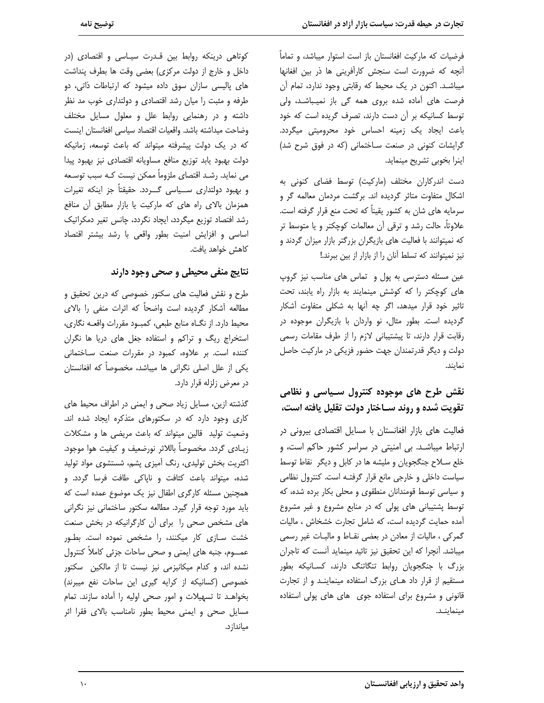فرضیات که مارکیت افغانستان باز است استوار میباشد، و تماماً آنچه که ضرورت است سنجش کارآفرینی ها ذر بین افغانها میباشـد. اکنون در یک محیط که رقابتی وجود ندارد، تمام آن فرصت های آماده شده بروی همه گی باز نمیباشد، ولی توسط کسانیکه بر آن دست دارند، تصرف گریده است که خود باعث ایجاد یک زمینه احساس خود محرومیتی میگردد. گرایشات کنونی در صنعت ساختمانی (که در فوق شرح شد) اینرا بخوبی تشریح مینماید.

دست اندرکاران مختلف (مارکیت) توسط فضای کنونی به اشکال متفاوت متاثر گردیده اند. برگشت مردمان معالمه گر و سرمایه های شان به کشور یقیناً که تحت منع قرار گرفته است. علاوتاً، حالت رشد و ترقی آن معالمات کوچکتر و یا متوسط تر که نمیتوانند با فعالیت های بازیگران بزرگتر بازار میزان گردند و نیز نمیتوانند که تسلط آنان را از بازار از بین ببرند.!

عین مسئله دسترسی به پول و تماس های مناسب نیز گروپ های کوچکتر را که کوشش مینمایند به بازار راه یابند، تحت تاثیر خود قرار میدهد، اگر چه آنها به شکلی متفاوت آشکار گردیده است. بطور مثال، نو واردان با بازیگران موجوده در رقابت قرار دارند، تا پیشتیبانی لازم را از طرف مقامات رسمی دولت و دیگر قدرتمندان جهت حضور فزیکی در مارکیت حاصل نماىند.

# نقش طرح های موجوده کنترول سـیاسی و نظامی تقويت شده و روند سـاختار دولت تقليل يافته است،

فعالیت های بازار افغانستان با مسایل اقتصادی بیرونی در ارتباط میباشد. بی امنیتی در سراسر کشور حاکم است، و خلع سلاح جنگجویان و ملیشه ها در کابل و دیگر نقاط توسط سیاست داخلی و خارجی مانع قرار گرفتـه است. کنترول نظامی و سیاسی توسط قومندانان منطقوی و محلی بکار برده شده، که توسط پشتیبانی های پولی که در منابع مشروع و غیر مشروع آمده حمایت گردیده است، که شامل تجارت خشخاش ، مالیات گمرکی ، مالیات از معادن در بعضی نقـاط و مالیـات غیر رسمی میباشد. آنچرا که این تحقیق نیز تائید مینماید آنست که تاجران بزرگ با جنگجویان روابط تنگاتنگ دارند، کسانیکه بطور مستقیم از قرار داد های بزرگ استفاده مینماینـد و از تجارت قانونی و مشروع برای استفاده جوی های های پولی استفاده مينماينـد.

کوتاهی درینکه روابط بین قـدرت سیـاسی و اقتصادی (در داخل و خارج از دولت مركزي) بعضي وقت ها بطرف پنداشت های پالیسی سازان سوق داده میشود که ارتباطات ذاتی، دو طرفه و مثبت را میان رشد اقتصادی و دولتداری خوب مد نظر داشته و در رهنمایی روابط علل و معلول مسایل مختلف وضاحت ميداشته باشد. واقعيات اقتصاد سياسى افغانستان اينست که در یک دولت پیشرفته میتواند که باعث توسعه، زمانیکه دولت بهبود يابد توزيع منافع مساويانه اقتصادى نيز بهبود پيدا می نماید. رشـد اقتصای ملزوماً ممکن نیست کـه سبب توسـعه و بهبود دولتداری ســـیاسی گــــردد. حقیقتاً جز اینکه تغیرات همزمان بالای راه های که مارکیت یا بازار مطابق آن منافع رشد افتصاد توزيع ميگردد، ايچاد نگردد، چانس تغير دمكراتيك اساسی و افزایش امنیت بطور واقعی با رشد بیشتر اقتصاد كاهش خواهد يافت.

### نتایج منفی محیطی و صحی وجود دارند

طرح و نقش فعالیت های سکتور خصوصی که درین تحقیق و مطالعه آشکار گردیده است واضحاً که اثرات منفی را بالای محيط دارد. از نگـاه منابع طبعي، كمبـود مقررات واقعـه نگاري، استخراج ریگ و تراکم و استفاده جغل های دریا ها نگران كننده است. بر علاوه، كمبود در مقررات صنعت ساختمانى یکی از علل اصلی نگرانی ها میباشد، مخصوصاً که افغانستان در معرض زلزله قرار دارد.

گذشته ازین، مسایل زیاد صحی و ایمنی در اطراف محیط های کاری وجود دارد که در سکتورهای متذکره ایجاد شده اند. وضعیت تولید قالین میتواند که باعث مریضی ها و مشکلات زيــادي گردد. مخصوصاً باللاثر نورضعيف و كيفيت هوا موجود. اکثریت بخش تولیدی، رنگ آمیزی پشم، شستشوی مواد تولید شده، میتواند باعث کثافت و ناپاکی طافت فرسا گردد. و همچنین مسئله کارگری اطفال نیز یک موضوع عمده است که باید مورد توجه قرار گیرد. مطالعه سکتور ساختمانی نیز نگرانی های مشخص صحی را برای آن کارگرانیکه در بخش صنعت خشت سازی کار میکنند، را مشخص نموده است. بطور عمـــوم، جنبه های ایمنی و صحی ساحات جزئی کاملاً کنترول نشده اند، و کدام میکانیزمی نیز نیست تا از مالکین سکتور خصوصی (کسانیکه از کرایه گیری این ساحات نفع میبرند) بخواهـد تا تسهيلات و امور صحى اوليه را آماده سازند. تمام مسایل صحی و ایمنی محیط بطور نامناسب بالای فقرا اثر میانداز د.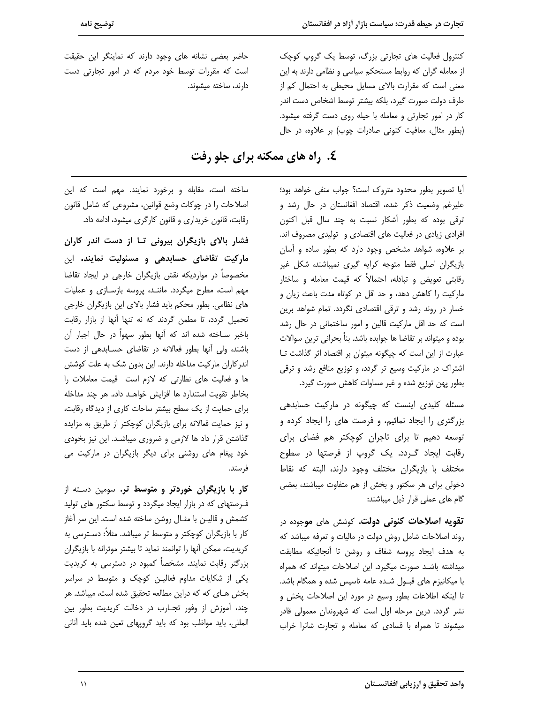کنترول فعالیت های تجارتی بزرگ، توسط یک گروپ کوچک از معامله گران که روابط مستحکم سیاسی و نظامی دارند به این معنی است که مقرارت بالای مسایل محیطی به احتمال کم از طرف دولت صورت گیرد، بلکه بیشتر توسط اشخاص دست اندر کار در امور تجارتی و معامله با حیله روی دست گرفته میشود. (بطور مثال، معافیت کنونی صادرات چوب) بر علاوه، در حال

حاضر بعضی نشانه های وجود دارند که نماینگر این حقیقت است که مقررات توسط خود مردم که در امور تجارتی دست دارند، ساخته میشوند.

توضيح نامه

# ٤. راه های ممکنه برای جلو رفت

آیا تصویر بطور محدود متروک است؟ جواب منفی خواهد بود؛ علیرغم وضعیت ذکر شده، اقتصاد افغانستان در حال رشد و ترقی بوده که بطور آشکار نسبت به چند سال قبل اکنون افرادی زیادی در فعالیت های اقتصادی و تولیدی مصروف اند. بر علاوه، شواهد مشخص وجود دارد که بطور ساده و آسان بازیگران اصلی فقط متوجه کرایه گیری نمیباشند، شکل غیر رقابتی تعویض و تبادله، احتمالاً که قیمت معامله و ساختار مارکیت را کاهش دهد، و حد اقل در کوتاه مدت باعث زیان و خسار در روند رشد و ترقی اقتصادی نگردد. تمام شواهد برین است که حد اقل مارکیت قالین و امور ساختمانی در حال رشد بوده و میتواند بر تقاضا ها جوابده باشد. بناً بحرانی ترین سوالات عبارت از این است که چیگونه میتوان بر اقتصاد اثر گذاشت تا اشتراک در مارکیت وسیع تر گردد، و توزیع منافع رشد و ترقی بطور پهن توزيع شده و غير مساوات كاهش صورت گيرد.

مسئله کلیدی اینست که چیگونه در مارکیت حسابدهی بزرگتری را ایجاد نمائیم، و فرصت های را ایجاد کرده و توسعه دهیم تا برای تاجران کوچکتر هم فضای برای رقابت ایجاد گـردد. یک گروپ از فرصتها در سطوح مختلف با بازیگران مختلف وجود دارند، البته که نقاط دخولی برای هر سکتور و بخش از هم متفاوت میباشند، بعضی گام های عملی قرار ذیل میباشند:

**تقویه اصلاحات کنونی دولت.** کوشش های **مو**جوده در روند اصلاحات شامل روش دولت در مالیات و تعرفه میباشد که به هدف ایجاد پروسه شفاف و روشن تا آنجائیکه مطابقت میداشته باشد صورت میگیرد. این اصلاحات میتواند که همراه با میکانیزم های قبول شده عامه تاسیس شده و همگام باشد. تا اینکه اطلاعات بطور وسیع در مورد این اصلاحات یخش و نشر گردد. درین مرحله اول است که شهروندان معمولی قادر میشوند تا همراه با فسادی که معامله و تجارت شانرا خراب

ساخته است، مقابله و برخورد نمایند. مهم است که این اصلاحات را در چوکات وضع قوانین، مشروعی که شامل قانون رقابت، قانون خریداری و قانون کارگری میشود، ادامه داد.

فشار بالای بازیگران بیرونی تـا از دست اندر کاران مارکیت تقاضای حسابدهی و مسئولیت نمایند. این مخصوصاً در مواردیکه نقش بازیگران خارجی در ایجاد تقاضا مهم است، مطرح میگردد. ماننـد، پروسه بازسـازی و عملیات های نظامی. بطور محکم باید فشار بالای این بازیگران خارجی تحمیل گردد، تا مطمن گردند که نه تنها آنها از بازار رقابت باخبر سـاخته شده اند كه آنها بطور سهواً در حال اجبار آن باشند، ولی آنها بطور فعالانه در تقاضای حسابدهی از دست اندر کاران مارکیت مداخله دارند. این بدون شک به علت کوشش ها و فعالیت های نظارتی که لازم است قیمت معاملات را بخاطر تقويت استندارد ها افزايش خواهـد داد،. هر چند مداخله برای حمایت از یک سطح بیشتر ساحات کاری از دیدگاه رقابت، و نیز حمایت فعالانه برای بازیگران کوچکتر از طریق به مزایده گذاشتن قرار داد ها لازمی و ضروری میباشد. این نیز بخودی خود پیغام های روشنی برای دیگر بازیگران در مارکیت می فر ستد.

**کار با بازیگران خوردتر و متوسط تر.** سومین دسـته از فـرصتهای که در بازار ایجاد میگردد و توسط سکتور های تولید كشمش و قاليـن با مثـال روشن ساخته شده است. اين سر آغاز کار با بازیگران کوچکتر و متوسط تر میباشد. مثلاً: دسـترسی به كريديت، ممكن آنها را توانمند نمايد تا بيشتر موثرانه با بازيگران بزرگتر رقابت نمایند. مشخصاً کمبود در دسترسی به کریدیت یکی از شکایات مداوم فعالیـن کوچک و متوسط در سراسر بخش هـای که که دراین مطالعه تحقیق شده است، میباشد. هر چند، آموزش از وفور تجـارب در دخالت كريديت بطور بين المللي، بايد مواظب بود كه بايد گروپهاى تعين شده بايد آنانى